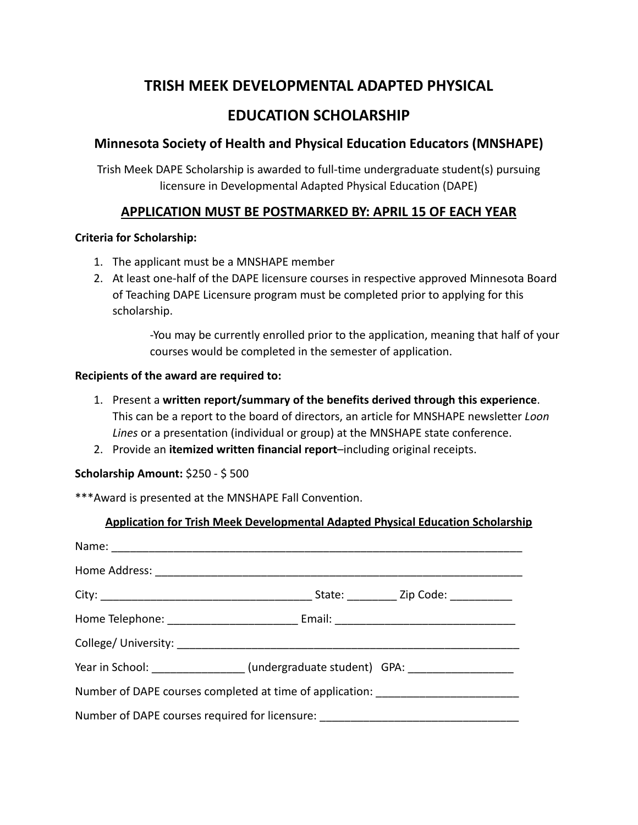# **TRISH MEEK DEVELOPMENTAL ADAPTED PHYSICAL**

# **EDUCATION SCHOLARSHIP**

# **Minnesota Society of Health and Physical Education Educators (MNSHAPE)**

Trish Meek DAPE Scholarship is awarded to full-time undergraduate student(s) pursuing licensure in Developmental Adapted Physical Education (DAPE)

## **APPLICATION MUST BE POSTMARKED BY: APRIL 15 OF EACH YEAR**

#### **Criteria for Scholarship:**

- 1. The applicant must be a MNSHAPE member
- 2. At least one-half of the DAPE licensure courses in respective approved Minnesota Board of Teaching DAPE Licensure program must be completed prior to applying for this scholarship.

-You may be currently enrolled prior to the application, meaning that half of your courses would be completed in the semester of application.

### **Recipients of the award are required to:**

- 1. Present a **written report/summary of the benefits derived through this experience**. This can be a report to the board of directors, an article for MNSHAPE newsletter *Loon Lines* or a presentation (individual or group) at the MNSHAPE state conference.
- 2. Provide an **itemized written financial report**–including original receipts.

## **Scholarship Amount:** \$250 - \$ 500

\*\*\*Award is presented at the MNSHAPE Fall Convention.

| <b>Application for Trish Meek Developmental Adapted Physical Education Scholarship</b> |                                                                                  |  |  |
|----------------------------------------------------------------------------------------|----------------------------------------------------------------------------------|--|--|
|                                                                                        |                                                                                  |  |  |
|                                                                                        |                                                                                  |  |  |
|                                                                                        |                                                                                  |  |  |
|                                                                                        |                                                                                  |  |  |
|                                                                                        |                                                                                  |  |  |
|                                                                                        | Year in School: ________________(undergraduate student) GPA: ___________________ |  |  |
|                                                                                        | Number of DAPE courses completed at time of application: _______________________ |  |  |
| Number of DAPE courses required for licensure: _________________________________       |                                                                                  |  |  |